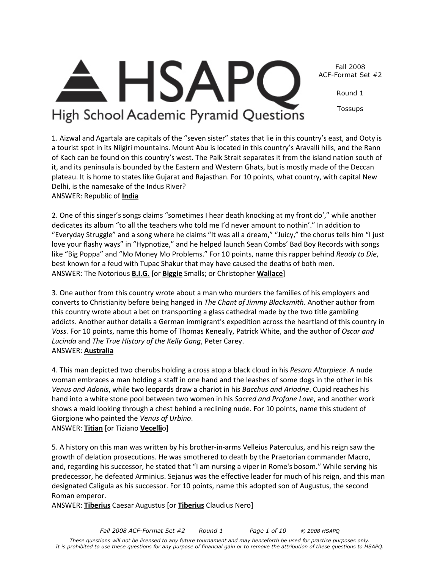Fall 2008 ACF-Format Set #2

Round 1

Tossups

1. Aizwal and Agartala are capitals of the "seven sister" states that lie in this country's east, and Ooty is a tourist spot in its Nilgiri mountains. Mount Abu is located in this country's Aravalli hills, and the Rann of Kach can be found on this country's west. The Palk Strait separates it from the island nation south of it, and its peninsula is bounded by the Eastern and Western Ghats, but is mostly made of the Deccan plateau. It is home to states like Gujarat and Rajasthan. For 10 points, what country, with capital New Delhi, is the namesake of the Indus River?

**HSAP** 

High School Academic Pyramid Questions

ANSWER: Republic of **India**

2. One of this singer's songs claims "sometimes I hear death knocking at my front do'," while another dedicates its album "to all the teachers who told me I'd never amount to nothin'." In addition to "Everyday Struggle" and a song where he claims "It was all a dream," "Juicy," the chorus tells him "I just love your flashy ways" in "Hypnotize," and he helped launch Sean Combs' Bad Boy Records with songs like "Big Poppa" and "Mo Money Mo Problems." For 10 points, name this rapper behind *Ready to Die*, best known for a feud with Tupac Shakur that may have caused the deaths of both men. ANSWER: The Notorious **B.I.G.** [or **Biggie** Smalls; or Christopher **Wallace**]

3. One author from this country wrote about a man who murders the families of his employers and converts to Christianity before being hanged in *The Chant of Jimmy Blacksmith*. Another author from this country wrote about a bet on transporting a glass cathedral made by the two title gambling addicts. Another author details a German immigrant's expedition across the heartland of this country in *Voss.* For 10 points, name this home of Thomas Keneally, Patrick White, and the author of *Oscar and Lucinda* and *The True History of the Kelly Gang*, Peter Carey.

4. This man depicted two cherubs holding a cross atop a black cloud in his *Pesaro Altarpiece*. A nude woman embraces a man holding a staff in one hand and the leashes of some dogs in the other in his *Venus and Adonis*, while two leopards draw a chariot in his *Bacchus and Ariadne*. Cupid reaches his hand into a white stone pool between two women in his *Sacred and Profane Love*, and another work shows a maid looking through a chest behind a reclining nude. For 10 points, name this student of Giorgione who painted the *Venus of Urbino*.

ANSWER: **Titian** [or Tiziano **Vecelli**o]

5. A history on this man was written by his brother-in-arms Velleius Paterculus, and his reign saw the growth of delation prosecutions. He was smothered to death by the Praetorian commander Macro, and, regarding his successor, he stated that "I am nursing a viper in Rome's bosom." While serving his predecessor, he defeated Arminius. Sejanus was the effective leader for much of his reign, and this man designated Caligula as his successor. For 10 points, name this adopted son of Augustus, the second Roman emperor.

ANSWER: **Tiberius** Caesar Augustus [or **Tiberius** Claudius Nero]

# ANSWER: **Australia**

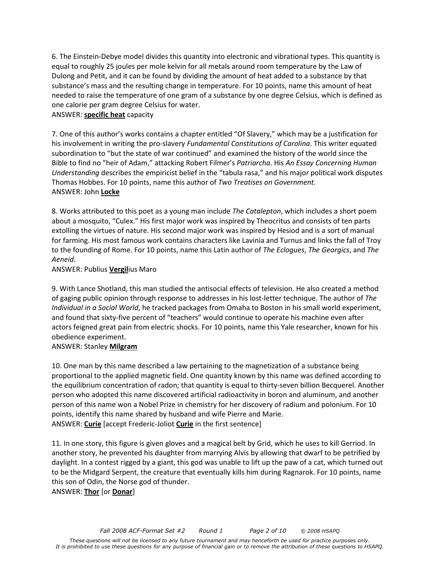6. The Einstein-Debye model divides this quantity into electronic and vibrational types. This quantity is equal to roughly 25 joules per mole kelvin for all metals around room temperature by the Law of Dulong and Petit, and it can be found by dividing the amount of heat added to a substance by that substance's mass and the resulting change in temperature. For 10 points, name this amount of heat needed to raise the temperature of one gram of a substance by one degree Celsius, which is defined as one calorie per gram degree Celsius for water.

### ANSWER: **specific heat** capacity

7. One of this author's works contains a chapter entitled "Of Slavery," which may be a justification for his involvement in writing the pro-slavery *Fundamental Constitutions of Carolina*. This writer equated subordination to "but the state of war continued" and examined the history of the world since the Bible to find no "heir of Adam," attacking Robert Filmer's *Patriarcha*. His *An Essay Concerning Human Understanding* describes the empiricist belief in the "tabula rasa," and his major political work disputes Thomas Hobbes. For 10 points, name this author of *Two Treatises on Government.*  ANSWER: John **Locke**

8. Works attributed to this poet as a young man include *The Catalepton*, which includes a short poem about a mosquito, "Culex." His first major work was inspired by Theocritus and consists of ten parts extolling the virtues of nature. His second major work was inspired by Hesiod and is a sort of manual for farming. His most famous work contains characters like Lavinia and Turnus and links the fall of Troy to the founding of Rome. For 10 points, name this Latin author of *The Eclogues*, *The Georgics*, and *The Aeneid*.

#### ANSWER: Publius **Vergil**ius Maro

9. With Lance Shotland, this man studied the antisocial effects of television. He also created a method of gaging public opinion through response to addresses in his lost-letter technique. The author of *The Individual in a Social World*, he tracked packages from Omaha to Boston in his small world experiment, and found that sixty-five percent of "teachers" would continue to operate his machine even after actors feigned great pain from electric shocks. For 10 points, name this Yale researcher, known for his obedience experiment.

## ANSWER: Stanley **Milgram**

10. One man by this name described a law pertaining to the magnetization of a substance being proportional to the applied magnetic field. One quantity known by this name was defined according to the equilibrium concentration of radon; that quantity is equal to thirty-seven billion Becquerel. Another person who adopted this name discovered artificial radioactivity in boron and aluminum, and another person of this name won a Nobel Prize in chemistry for her discovery of radium and polonium. For 10 points, identify this name shared by husband and wife Pierre and Marie. ANSWER: **Curie** [accept Frederic-Joliot **Curie** in the first sentence]

11. In one story, this figure is given gloves and a magical belt by Grid, which he uses to kill Gerriod. In another story, he prevented his daughter from marrying Alvis by allowing that dwarf to be petrified by daylight. In a contest rigged by a giant, this god was unable to lift up the paw of a cat, which turned out to be the Midgard Serpent, the creature that eventually kills him during Ragnarok. For 10 points, name this son of Odin, the Norse god of thunder.

ANSWER: **Thor** [or **Donar**]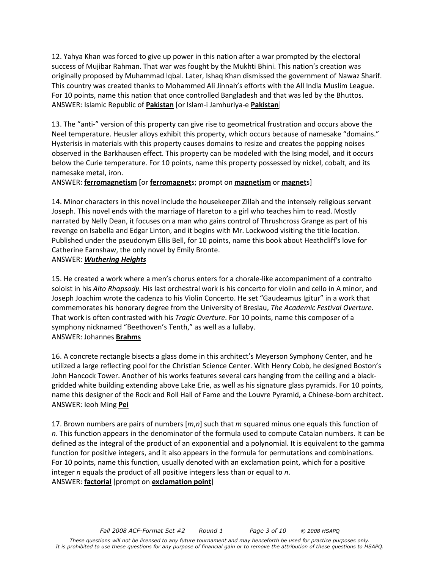12. Yahya Khan was forced to give up power in this nation after a war prompted by the electoral success of Mujibar Rahman. That war was fought by the Mukhti Bhini. This nation's creation was originally proposed by Muhammad Iqbal. Later, Ishaq Khan dismissed the government of Nawaz Sharif. This country was created thanks to Mohammed Ali Jinnah's efforts with the All India Muslim League. For 10 points, name this nation that once controlled Bangladesh and that was led by the Bhuttos. ANSWER: Islamic Republic of **Pakistan** [or Islam-i Jamhuriya-e **Pakistan**]

13. The "anti-" version of this property can give rise to geometrical frustration and occurs above the Neel temperature. Heusler alloys exhibit this property, which occurs because of namesake "domains." Hysterisis in materials with this property causes domains to resize and creates the popping noises observed in the Barkhausen effect. This property can be modeled with the Ising model, and it occurs below the Curie temperature. For 10 points, name this property possessed by nickel, cobalt, and its namesake metal, iron.

#### ANSWER: **ferromagnetism** [or **ferromagnet**s; prompt on **magnetism** or **magnet**s]

14. Minor characters in this novel include the housekeeper Zillah and the intensely religious servant Joseph. This novel ends with the marriage of Hareton to a girl who teaches him to read. Mostly narrated by Nelly Dean, it focuses on a man who gains control of Thrushcross Grange as part of his revenge on Isabella and Edgar Linton, and it begins with Mr. Lockwood visiting the title location. Published under the pseudonym Ellis Bell, for 10 points, name this book about Heathcliff's love for Catherine Earnshaw, the only novel by Emily Bronte.

#### ANSWER: *Wuthering Heights*

15. He created a work where a men's chorus enters for a chorale-like accompaniment of a contralto soloist in his *Alto Rhapsody*. His last orchestral work is his concerto for violin and cello in A minor, and Joseph Joachim wrote the cadenza to his Violin Concerto. He set "Gaudeamus Igitur" in a work that commemorates his honorary degree from the University of Breslau, *The Academic Festival Overture*. That work is often contrasted with his *Tragic Overture*. For 10 points, name this composer of a symphony nicknamed "Beethoven's Tenth," as well as a lullaby. ANSWER: Johannes **Brahms**

16. A concrete rectangle bisects a glass dome in this architect's Meyerson Symphony Center, and he utilized a large reflecting pool for the Christian Science Center. With Henry Cobb, he designed Boston's John Hancock Tower. Another of his works features several cars hanging from the ceiling and a blackgridded white building extending above Lake Erie, as well as his signature glass pyramids. For 10 points, name this designer of the Rock and Roll Hall of Fame and the Louvre Pyramid, a Chinese-born architect. ANSWER: Ieoh Ming **Pei**

17. Brown numbers are pairs of numbers [*m*,*n*] such that *m* squared minus one equals this function of *n*. This function appears in the denominator of the formula used to compute Catalan numbers. It can be defined as the integral of the product of an exponential and a polynomial. It is equivalent to the gamma function for positive integers, and it also appears in the formula for permutations and combinations. For 10 points, name this function, usually denoted with an exclamation point, which for a positive integer *n* equals the product of all positive integers less than or equal to *n*. ANSWER: **factorial** [prompt on **exclamation point**]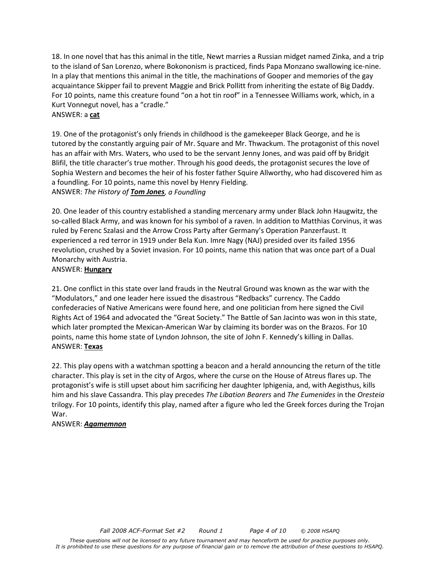18. In one novel that has this animal in the title, Newt marries a Russian midget named Zinka, and a trip to the island of San Lorenzo, where Bokononism is practiced, finds Papa Monzano swallowing ice-nine. In a play that mentions this animal in the title, the machinations of Gooper and memories of the gay acquaintance Skipper fail to prevent Maggie and Brick Pollitt from inheriting the estate of Big Daddy. For 10 points, name this creature found "on a hot tin roof" in a Tennessee Williams work, which, in a Kurt Vonnegut novel, has a "cradle."

#### ANSWER: a **cat**

19. One of the protagonist's only friends in childhood is the gamekeeper Black George, and he is tutored by the constantly arguing pair of Mr. Square and Mr. Thwackum. The protagonist of this novel has an affair with Mrs. Waters, who used to be the servant Jenny Jones, and was paid off by Bridgit Blifil, the title character's true mother. Through his good deeds, the protagonist secures the love of Sophia Western and becomes the heir of his foster father Squire Allworthy, who had discovered him as a foundling. For 10 points, name this novel by Henry Fielding. ANSWER: *The History of Tom Jones, a Foundling*

20. One leader of this country established a standing mercenary army under Black John Haugwitz, the so-called Black Army, and was known for his symbol of a raven. In addition to Matthias Corvinus, it was ruled by Ferenc Szalasi and the Arrow Cross Party after Germany's Operation Panzerfaust. It experienced a red terror in 1919 under Bela Kun. Imre Nagy (NAJ) presided over its failed 1956 revolution, crushed by a Soviet invasion. For 10 points, name this nation that was once part of a Dual Monarchy with Austria.

#### ANSWER: **Hungary**

21. One conflict in this state over land frauds in the Neutral Ground was known as the war with the "Modulators," and one leader here issued the disastrous "Redbacks" currency. The Caddo confederacies of Native Americans were found here, and one politician from here signed the Civil Rights Act of 1964 and advocated the "Great Society." The Battle of San Jacinto was won in this state, which later prompted the Mexican-American War by claiming its border was on the Brazos. For 10 points, name this home state of Lyndon Johnson, the site of John F. Kennedy's killing in Dallas. ANSWER: **Texas**

22. This play opens with a watchman spotting a beacon and a herald announcing the return of the title character. This play is set in the city of Argos, where the curse on the House of Atreus flares up. The protagonist's wife is still upset about him sacrificing her daughter Iphigenia, and, with Aegisthus, kills him and his slave Cassandra. This play precedes *The Libation Bearers* and *The Eumenides* in the *Oresteia*  trilogy. For 10 points, identify this play, named after a figure who led the Greek forces during the Trojan War.

## ANSWER: *Agamemnon*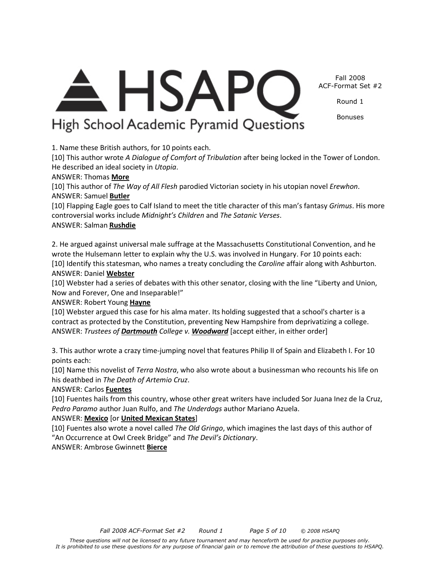Fall 2008 ACF-Format Set #2

Round 1

Bonuses

A HSAPC High School Academic Pyramid Questions

1. Name these British authors, for 10 points each.

[10] This author wrote *A Dialogue of Comfort of Tribulation* after being locked in the Tower of London. He described an ideal society in *Utopia*.

## ANSWER: Thomas **More**

[10] This author of *The Way of All Flesh* parodied Victorian society in his utopian novel *Erewhon*. ANSWER: Samuel **Butler**

[10] Flapping Eagle goes to Calf Island to meet the title character of this man's fantasy *Grimus*. His more controversial works include *Midnight's Children* and *The Satanic Verses*. ANSWER: Salman **Rushdie**

2. He argued against universal male suffrage at the Massachusetts Constitutional Convention, and he wrote the Hulsemann letter to explain why the U.S. was involved in Hungary. For 10 points each: [10] Identify this statesman, who names a treaty concluding the *Caroline* affair along with Ashburton. ANSWER: Daniel **Webster**

[10] Webster had a series of debates with this other senator, closing with the line "Liberty and Union, Now and Forever, One and Inseparable!"

ANSWER: Robert Young **Hayne**

[10] Webster argued this case for his alma mater. Its holding suggested that a school's charter is a contract as protected by the Constitution, preventing New Hampshire from deprivatizing a college. ANSWER: *Trustees of Dartmouth College v. Woodward* [accept either, in either order]

3. This author wrote a crazy time-jumping novel that features Philip II of Spain and Elizabeth I. For 10 points each:

[10] Name this novelist of *Terra Nostra*, who also wrote about a businessman who recounts his life on his deathbed in *The Death of Artemio Cruz*.

## ANSWER: Carlos **Fuentes**

[10] Fuentes hails from this country, whose other great writers have included Sor Juana Inez de la Cruz, *Pedro Paramo* author Juan Rulfo, and *The Underdogs* author Mariano Azuela.

## ANSWER: **Mexico** [or **United Mexican States**]

[10] Fuentes also wrote a novel called *The Old Gringo*, which imagines the last days of this author of "An Occurrence at Owl Creek Bridge" and *The Devil's Dictionary*.

ANSWER: Ambrose Gwinnett **Bierce**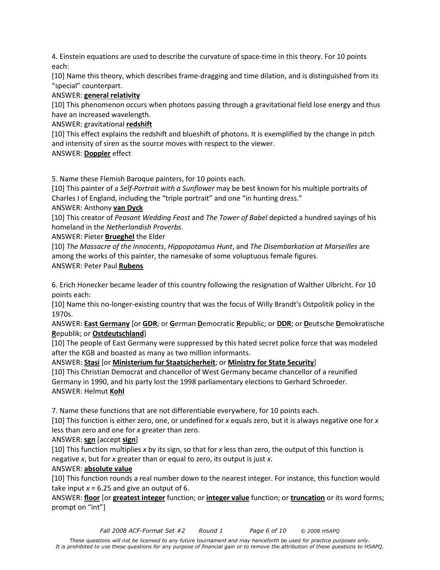4. Einstein equations are used to describe the curvature of space-time in this theory. For 10 points each:

[10] Name this theory, which describes frame-dragging and time dilation, and is distinguished from its "special" counterpart.

## ANSWER: **general relativity**

[10] This phenomenon occurs when photons passing through a gravitational field lose energy and thus have an increased wavelength.

# ANSWER: gravitational **redshift**

[10] This effect explains the redshift and blueshift of photons. It is exemplified by the change in pitch and intensity of siren as the source moves with respect to the viewer.

# ANSWER: **Doppler** effect

5. Name these Flemish Baroque painters, for 10 points each.

[10] This painter of a *Self-Portrait with a Sunflower* may be best known for his multiple portraits of Charles I of England, including the "triple portrait" and one "in hunting dress."

# ANSWER: Anthony **van Dyck**

[10] This creator of *Peasant Wedding Feast* and *The Tower of Babel* depicted a hundred sayings of his homeland in the *Netherlandish Proverbs*.

ANSWER: Pieter **Brueghel** the Elder

[10] *The Massacre of the Innocents*, *Hippopotamus Hunt*, and *The Disembarkation at Marseilles* are among the works of this painter, the namesake of some voluptuous female figures. ANSWER: Peter Paul **Rubens**

6. Erich Honecker became leader of this country following the resignation of Walther Ulbricht. For 10 points each:

[10] Name this no-longer-existing country that was the focus of Willy Brandt's Ostpolitik policy in the 1970s.

ANSWER: **East Germany** [or **GDR**; or **G**erman **D**emocratic **R**epublic; or **DDR**; or **D**eutsche **D**emokratische **R**epublik; or **Ostdeutschland**]

[10] The people of East Germany were suppressed by this hated secret police force that was modeled after the KGB and boasted as many as two million informants.

ANSWER: **Stasi** [or **Ministerium fur Staatsicherheit**; or **Ministry for State Security**]

[10] This Christian Democrat and chancellor of West Germany became chancellor of a reunified Germany in 1990, and his party lost the 1998 parliamentary elections to Gerhard Schroeder. ANSWER: Helmut **Kohl**

7. Name these functions that are not differentiable everywhere, for 10 points each.

[10] This function is either zero, one, or undefined for *x* equals zero, but it is always negative one for *x* less than zero and one for *x* greater than zero.

# ANSWER: **sgn** [accept **sign**]

[10] This function multiplies *x* by its sign, so that for *x* less than zero, the output of this function is negative *x*, but for *x* greater than or equal to zero, its output is just *x*.

## ANSWER: **absolute value**

[10] This function rounds a real number down to the nearest integer. For instance, this function would take input  $x = 6.25$  and give an output of 6.

ANSWER: **floor** [or **greatest integer** function; or **integer value** function; or **truncation** or its word forms; prompt on "int"]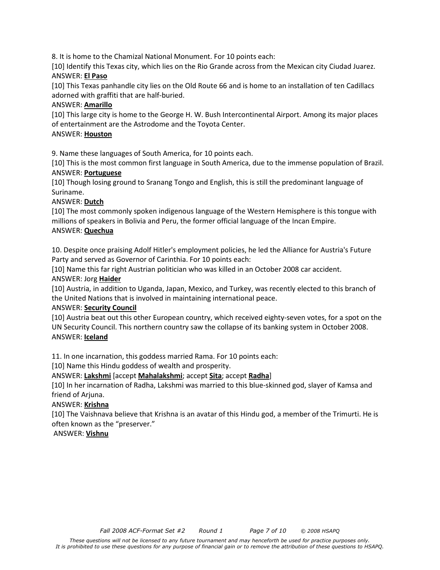8. It is home to the Chamizal National Monument. For 10 points each:

[10] Identify this Texas city, which lies on the Rio Grande across from the Mexican city Ciudad Juarez. ANSWER: **El Paso**

[10] This Texas panhandle city lies on the Old Route 66 and is home to an installation of ten Cadillacs adorned with graffiti that are half-buried.

### ANSWER: **Amarillo**

[10] This large city is home to the George H. W. Bush Intercontinental Airport. Among its major places of entertainment are the Astrodome and the Toyota Center.

#### ANSWER: **Houston**

9. Name these languages of South America, for 10 points each.

[10] This is the most common first language in South America, due to the immense population of Brazil. ANSWER: **Portuguese**

[10] Though losing ground to Sranang Tongo and English, this is still the predominant language of Suriname.

#### ANSWER: **Dutch**

[10] The most commonly spoken indigenous language of the Western Hemisphere is this tongue with millions of speakers in Bolivia and Peru, the former official language of the Incan Empire. ANSWER: **Quechua**

10. Despite once praising Adolf Hitler's employment policies, he led the Alliance for Austria's Future Party and served as Governor of Carinthia. For 10 points each:

[10] Name this far right Austrian politician who was killed in an October 2008 car accident.

#### ANSWER: Jorg **Haider**

[10] Austria, in addition to Uganda, Japan, Mexico, and Turkey, was recently elected to this branch of the United Nations that is involved in maintaining international peace.

#### ANSWER: **Security Council**

[10] Austria beat out this other European country, which received eighty-seven votes, for a spot on the UN Security Council. This northern country saw the collapse of its banking system in October 2008. ANSWER: **Iceland**

11. In one incarnation, this goddess married Rama. For 10 points each:

[10] Name this Hindu goddess of wealth and prosperity.

ANSWER: **Lakshmi** [accept **Mahalakshmi**; accept **Sita**; accept **Radha**]

[10] In her incarnation of Radha, Lakshmi was married to this blue-skinned god, slayer of Kamsa and friend of Arjuna.

## ANSWER: **Krishna**

[10] The Vaishnava believe that Krishna is an avatar of this Hindu god, a member of the Trimurti. He is often known as the "preserver."

#### ANSWER: **Vishnu**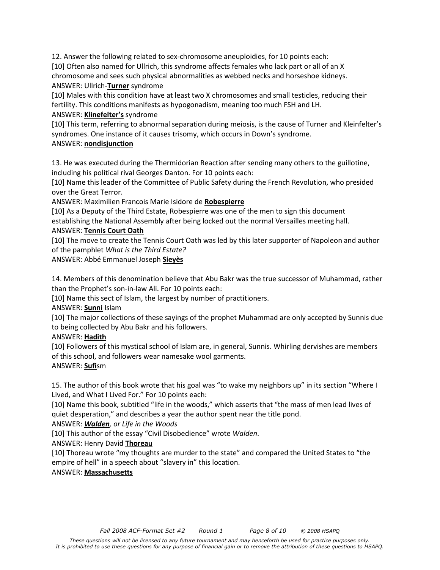12. Answer the following related to sex-chromosome aneuploidies, for 10 points each: [10] Often also named for Ullrich, this syndrome affects females who lack part or all of an X chromosome and sees such physical abnormalities as webbed necks and horseshoe kidneys. ANSWER: Ullrich-**Turner** syndrome

[10] Males with this condition have at least two X chromosomes and small testicles, reducing their fertility. This conditions manifests as hypogonadism, meaning too much FSH and LH. ANSWER: **Klinefelter's** syndrome

[10] This term, referring to abnormal separation during meiosis, is the cause of Turner and Kleinfelter's syndromes. One instance of it causes trisomy, which occurs in Down's syndrome.

# ANSWER: **nondisjunction**

13. He was executed during the Thermidorian Reaction after sending many others to the guillotine, including his political rival Georges Danton. For 10 points each:

[10] Name this leader of the Committee of Public Safety during the French Revolution, who presided over the Great Terror.

ANSWER: Maximilien Francois Marie Isidore de **Robespierre**

[10] As a Deputy of the Third Estate, Robespierre was one of the men to sign this document establishing the National Assembly after being locked out the normal Versailles meeting hall.

# ANSWER: **Tennis Court Oath**

[10] The move to create the Tennis Court Oath was led by this later supporter of Napoleon and author of the pamphlet *What is the Third Estate?* 

ANSWER: Abbé Emmanuel Joseph **Sieyès**

14. Members of this denomination believe that Abu Bakr was the true successor of Muhammad, rather than the Prophet's son-in-law Ali. For 10 points each:

[10] Name this sect of Islam, the largest by number of practitioners.

ANSWER: **Sunni** Islam

[10] The major collections of these sayings of the prophet Muhammad are only accepted by Sunnis due to being collected by Abu Bakr and his followers.

## ANSWER: **Hadith**

[10] Followers of this mystical school of Islam are, in general, Sunnis. Whirling dervishes are members of this school, and followers wear namesake wool garments.

# ANSWER: **Sufi**sm

15. The author of this book wrote that his goal was "to wake my neighbors up" in its section "Where I Lived, and What I Lived For." For 10 points each:

[10] Name this book, subtitled "life in the woods," which asserts that "the mass of men lead lives of quiet desperation," and describes a year the author spent near the title pond.

ANSWER: *Walden, or Life in the Woods* 

[10] This author of the essay "Civil Disobedience" wrote *Walden*.

ANSWER: Henry David **Thoreau**

[10] Thoreau wrote "my thoughts are murder to the state" and compared the United States to "the empire of hell" in a speech about "slavery in" this location.

# ANSWER: **Massachusetts**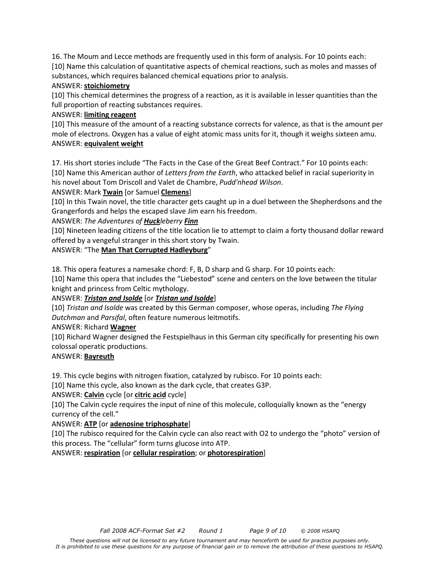16. The Moum and Lecce methods are frequently used in this form of analysis. For 10 points each: [10] Name this calculation of quantitative aspects of chemical reactions, such as moles and masses of substances, which requires balanced chemical equations prior to analysis.

## ANSWER: **stoichiometry**

[10] This chemical determines the progress of a reaction, as it is available in lesser quantities than the full proportion of reacting substances requires.

# ANSWER: **limiting reagent**

[10] This measure of the amount of a reacting substance corrects for valence, as that is the amount per mole of electrons. Oxygen has a value of eight atomic mass units for it, though it weighs sixteen amu. ANSWER: **equivalent weight**

17. His short stories include "The Facts in the Case of the Great Beef Contract." For 10 points each: [10] Name this American author of *Letters from the Earth*, who attacked belief in racial superiority in his novel about Tom Driscoll and Valet de Chambre, *Pudd'nhead Wilson*.

ANSWER: Mark **Twain** [or Samuel **Clemens**]

[10] In this Twain novel, the title character gets caught up in a duel between the Shepherdsons and the Grangerfords and helps the escaped slave Jim earn his freedom.

## ANSWER: *The Adventures of Huckleberry Finn*

[10] Nineteen leading citizens of the title location lie to attempt to claim a forty thousand dollar reward offered by a vengeful stranger in this short story by Twain.

ANSWER: "The **Man That Corrupted Hadleyburg**"

18. This opera features a namesake chord: F, B, D sharp and G sharp. For 10 points each:

[10] Name this opera that includes the "Liebestod" scene and centers on the love between the titular knight and princess from Celtic mythology.

# ANSWER: *Tristan and Isolde* [or *Tristan und Isolde*]

[10] *Tristan and Isolde* was created by this German composer, whose operas, including *The Flying Dutchman* and *Parsifal*, often feature numerous leitmotifs.

# ANSWER: Richard **Wagner**

[10] Richard Wagner designed the Festspielhaus in this German city specifically for presenting his own colossal operatic productions.

## ANSWER: **Bayreuth**

19. This cycle begins with nitrogen fixation, catalyzed by rubisco. For 10 points each:

[10] Name this cycle, also known as the dark cycle, that creates G3P.

ANSWER: **Calvin** cycle [or **citric acid** cycle]

[10] The Calvin cycle requires the input of nine of this molecule, colloquially known as the "energy currency of the cell."

# ANSWER: **ATP** [or **adenosine triphosphate**]

[10] The rubisco required for the Calvin cycle can also react with O2 to undergo the "photo" version of this process. The "cellular" form turns glucose into ATP.

ANSWER: **respiration** [or **cellular respiration**; or **photorespiration**]